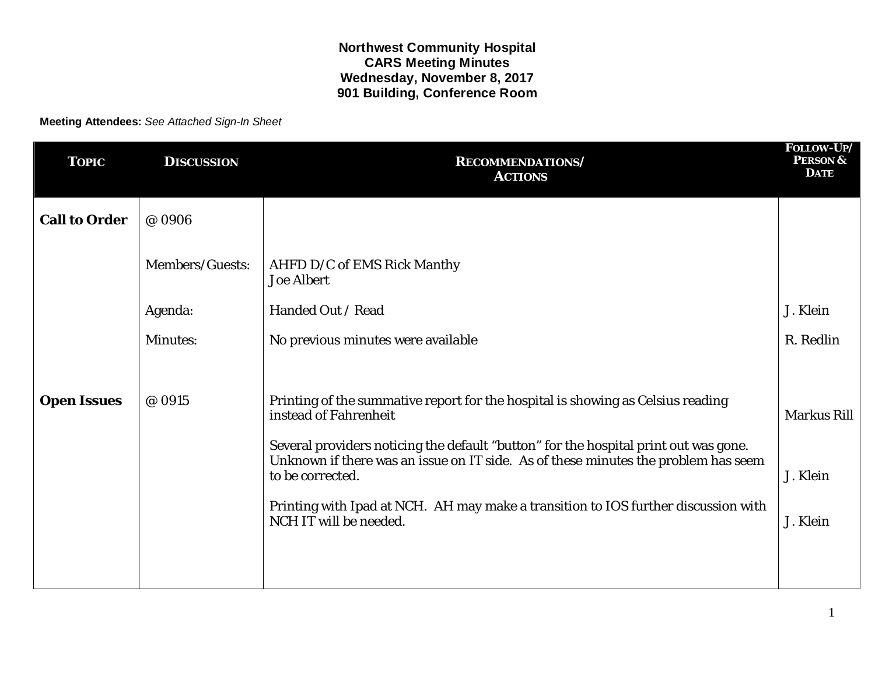## **Northwest Community Hospital CARS Meeting Minutes Wednesday, November 8, 2017 901 Building, Conference Room**

**Meeting Attendees:** *See Attached Sign-In Sheet*

| <b>TOPIC</b>         | <b>DISCUSSION</b> | <b>RECOMMENDATIONS/</b><br><b>ACTIONS</b>                                                                                                                                                      | FOLLOW-UP/<br><b>PERSON &amp;</b><br><b>DATE</b> |
|----------------------|-------------------|------------------------------------------------------------------------------------------------------------------------------------------------------------------------------------------------|--------------------------------------------------|
| <b>Call to Order</b> | @ 0906            |                                                                                                                                                                                                |                                                  |
|                      | Members/Guests:   | AHFD D/C of EMS Rick Manthy<br><b>Joe Albert</b>                                                                                                                                               |                                                  |
|                      | Agenda:           | Handed Out / Read                                                                                                                                                                              | J. Klein                                         |
|                      | <b>Minutes:</b>   | No previous minutes were available                                                                                                                                                             | R. Redlin                                        |
|                      |                   |                                                                                                                                                                                                |                                                  |
| <b>Open Issues</b>   | @ 0915            | Printing of the summative report for the hospital is showing as Celsius reading<br>instead of Fahrenheit                                                                                       | <b>Markus Rill</b>                               |
|                      |                   | Several providers noticing the default "button" for the hospital print out was gone.<br>Unknown if there was an issue on IT side. As of these minutes the problem has seem<br>to be corrected. | J. Klein                                         |
|                      |                   | Printing with Ipad at NCH. AH may make a transition to IOS further discussion with<br>NCH IT will be needed.                                                                                   | J. Klein                                         |
|                      |                   |                                                                                                                                                                                                |                                                  |
|                      |                   |                                                                                                                                                                                                |                                                  |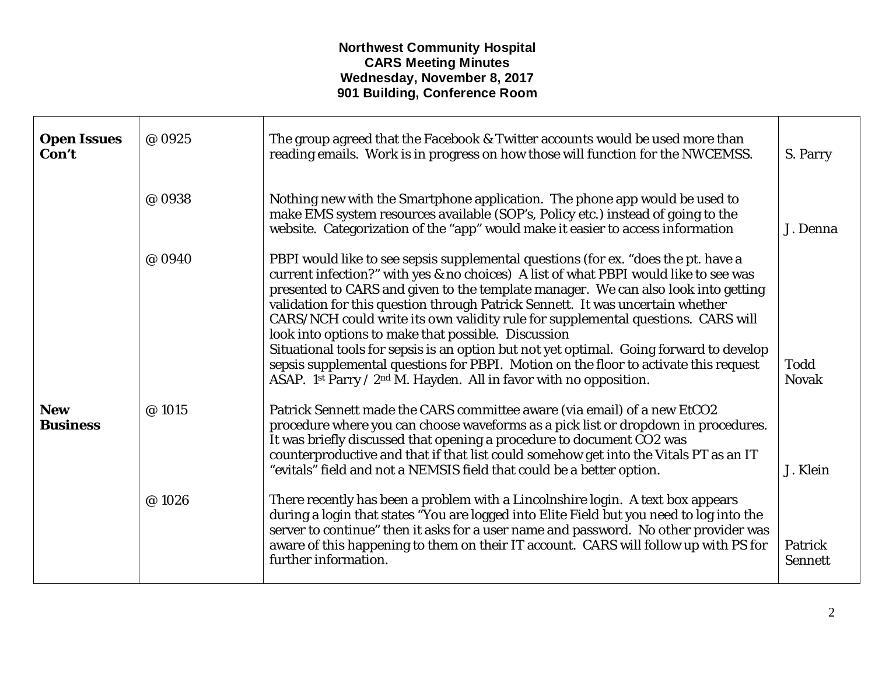## **Northwest Community Hospital CARS Meeting Minutes Wednesday, November 8, 2017 901 Building, Conference Room**

| <b>Open Issues</b><br>Con't   | @ 0925 | The group agreed that the Facebook & Twitter accounts would be used more than<br>reading emails. Work is in progress on how those will function for the NWCEMSS.                                                                                                                                                                                                                                                                                                                                                                                                                                                                                                                                                                                      | S. Parry                    |
|-------------------------------|--------|-------------------------------------------------------------------------------------------------------------------------------------------------------------------------------------------------------------------------------------------------------------------------------------------------------------------------------------------------------------------------------------------------------------------------------------------------------------------------------------------------------------------------------------------------------------------------------------------------------------------------------------------------------------------------------------------------------------------------------------------------------|-----------------------------|
|                               | @ 0938 | Nothing new with the Smartphone application. The phone app would be used to<br>make EMS system resources available (SOP's, Policy etc.) instead of going to the<br>website. Categorization of the "app" would make it easier to access information                                                                                                                                                                                                                                                                                                                                                                                                                                                                                                    | J. Denna                    |
|                               | @ 0940 | PBPI would like to see sepsis supplemental questions (for ex. "does the pt. have a<br>current infection?" with yes & no choices) A list of what PBPI would like to see was<br>presented to CARS and given to the template manager. We can also look into getting<br>validation for this question through Patrick Sennett. It was uncertain whether<br>CARS/NCH could write its own validity rule for supplemental questions. CARS will<br>look into options to make that possible. Discussion<br>Situational tools for sepsis is an option but not yet optimal. Going forward to develop<br>sepsis supplemental questions for PBPI. Motion on the floor to activate this request<br>ASAP. 1st Parry / 2nd M. Hayden. All in favor with no opposition. | <b>Todd</b><br><b>Novak</b> |
| <b>New</b><br><b>Business</b> | @ 1015 | Patrick Sennett made the CARS committee aware (via email) of a new EtCO2<br>procedure where you can choose waveforms as a pick list or dropdown in procedures.<br>It was briefly discussed that opening a procedure to document CO2 was<br>counterproductive and that if that list could somehow get into the Vitals PT as an IT<br>"evitals" field and not a NEMSIS field that could be a better option.                                                                                                                                                                                                                                                                                                                                             | J. Klein                    |
|                               | @1026  | There recently has been a problem with a Lincolnshire login. A text box appears<br>during a login that states "You are logged into Elite Field but you need to log into the<br>server to continue" then it asks for a user name and password. No other provider was<br>aware of this happening to them on their IT account. CARS will follow up with PS for<br>further information.                                                                                                                                                                                                                                                                                                                                                                   | Patrick<br><b>Sennett</b>   |